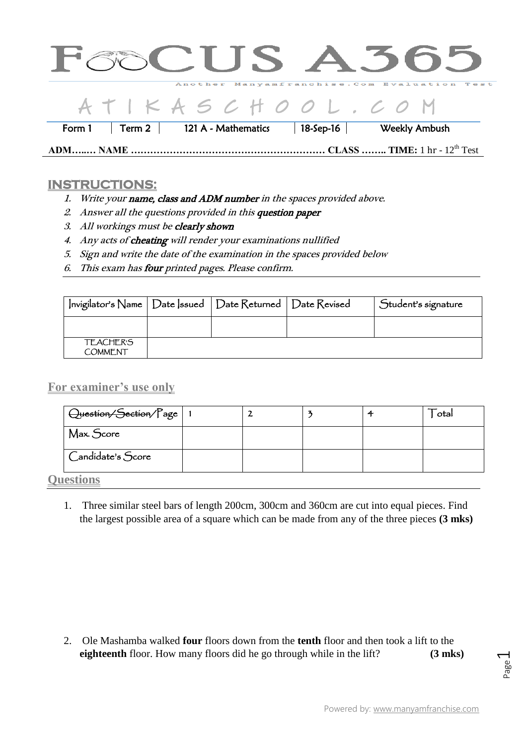|        |                    |                     |               | <b>GOCUS A365</b>                                 |
|--------|--------------------|---------------------|---------------|---------------------------------------------------|
|        |                    |                     |               | Another Manyamfranchise. Com Evaluation Test      |
|        |                    | ATIKASCHOOL.CO M    |               |                                                   |
| Form 1 | Term 2 $\parallel$ | 121 A - Mathematics | 18-Sep-16 $ $ | Weekly Ambush                                     |
|        |                    |                     |               | CLASS  TIME: $1 \text{ hr} - 12^{\text{th}}$ Test |

## **INSTRUCTIONS:**

- 1. Write your name, class and ADM number in the spaces provided above.
- 2. Answer all the questions provided in this question paper
- 3. All workings must be clearly shown
- 4. Any acts of cheating will render your examinations nullified
- 5. Sign and write the date of the examination in the spaces provided below
- 6. This exam has four printed pages. Please confirm.

| Invigilator's Name   Date  ssued   Date Returned   Date Revised |  | Student's signature |
|-----------------------------------------------------------------|--|---------------------|
|                                                                 |  |                     |
| <b>TEACHER'S</b><br><b>COMMENT</b>                              |  |                     |

**For examiner's use only**

| Question/Section/Page                 |  |  | otal |
|---------------------------------------|--|--|------|
| Max. Score                            |  |  |      |
| $\bigcup$ Candidate's $\bigcirc$ core |  |  |      |

**Questions** 

1. Three similar steel bars of length 200cm, 300cm and 360cm are cut into equal pieces. Find the largest possible area of a square which can be made from any of the three pieces **(3 mks)**

2. Ole Mashamba walked **four** floors down from the **tenth** floor and then took a lift to the **eighteenth** floor. How many floors did he go through while in the lift? **(3 mks)**

Page  $\overline{\phantom{0}}$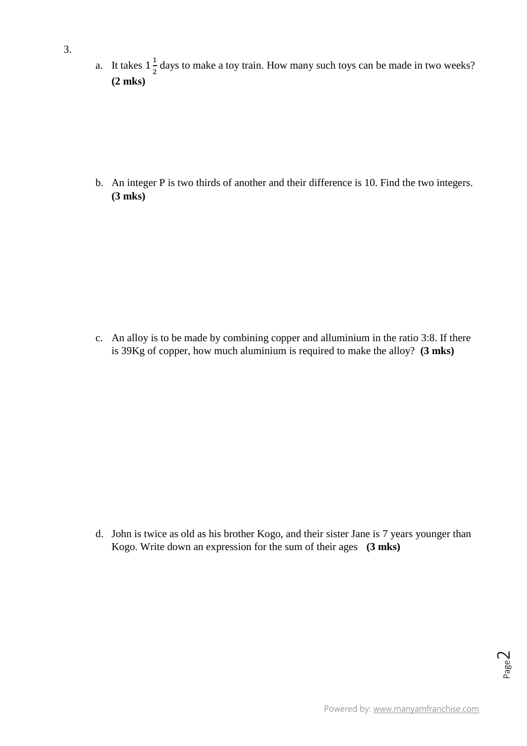a. It takes  $1\frac{1}{2}$  $\frac{1}{2}$  days to make a toy train. How many such toys can be made in two weeks? **(2 mks)**

b. An integer P is two thirds of another and their difference is 10. Find the two integers. **(3 mks)**

c. An alloy is to be made by combining copper and alluminium in the ratio 3:8. If there is 39Kg of copper, how much aluminium is required to make the alloy? **(3 mks)**

d. John is twice as old as his brother Kogo, and their sister Jane is 7 years younger than Kogo. Write down an expression for the sum of their ages **(3 mks)**

Page  $\sim$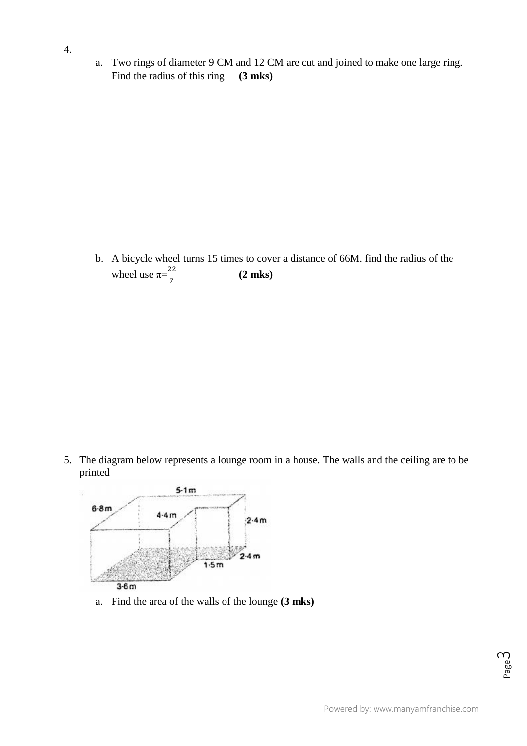a. Two rings of diameter 9 CM and 12 CM are cut and joined to make one large ring. Find the radius of this ring **(3 mks)**

b. A bicycle wheel turns 15 times to cover a distance of 66M. find the radius of the wheel use  $\pi = \frac{2}{5}$ 7 **(2 mks)**

5. The diagram below represents a lounge room in a house. The walls and the ceiling are to be printed



a. Find the area of the walls of the lounge **(3 mks)**

Page ന